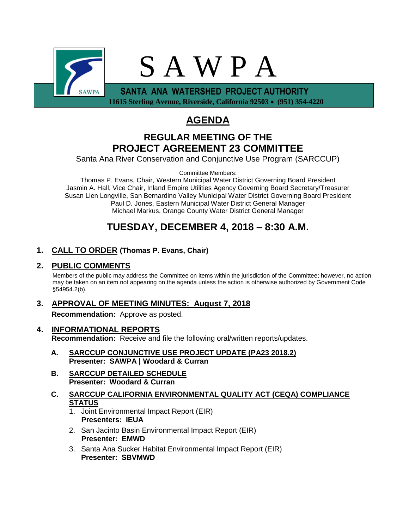

 **11615 Sterling Avenue, Riverside, California 92503** • **(951) 354-4220**

# **AGENDA**

## **REGULAR MEETING OF THE PROJECT AGREEMENT 23 COMMITTEE**

Santa Ana River Conservation and Conjunctive Use Program (SARCCUP)

Committee Members:

Thomas P. Evans, Chair, Western Municipal Water District Governing Board President Jasmin A. Hall, Vice Chair, Inland Empire Utilities Agency Governing Board Secretary/Treasurer Susan Lien Longville, San Bernardino Valley Municipal Water District Governing Board President Paul D. Jones, Eastern Municipal Water District General Manager Michael Markus, Orange County Water District General Manager

# **TUESDAY, DECEMBER 4, 2018 – 8:30 A.M.**

## **1. CALL TO ORDER (Thomas P. Evans, Chair)**

## **2. PUBLIC COMMENTS**

Members of the public may address the Committee on items within the jurisdiction of the Committee; however, no action may be taken on an item not appearing on the agenda unless the action is otherwise authorized by Government Code §54954.2(b).

# **3. APPROVAL OF MEETING MINUTES: August 7, 2018**

**Recommendation:** Approve as posted.

- **4. INFORMATIONAL REPORTS Recommendation:** Receive and file the following oral/written reports/updates.
	- **A. SARCCUP CONJUNCTIVE USE PROJECT UPDATE (PA23 2018.2) Presenter: SAWPA | Woodard & Curran**
	- **B. SARCCUP DETAILED SCHEDULE Presenter: Woodard & Curran**
	- **C. SARCCUP CALIFORNIA ENVIRONMENTAL QUALITY ACT (CEQA) COMPLIANCE STATUS**
		- 1. Joint Environmental Impact Report (EIR) **Presenters: IEUA**
		- 2. San Jacinto Basin Environmental Impact Report (EIR) **Presenter: EMWD**
		- 3. Santa Ana Sucker Habitat Environmental Impact Report (EIR) **Presenter: SBVMWD**